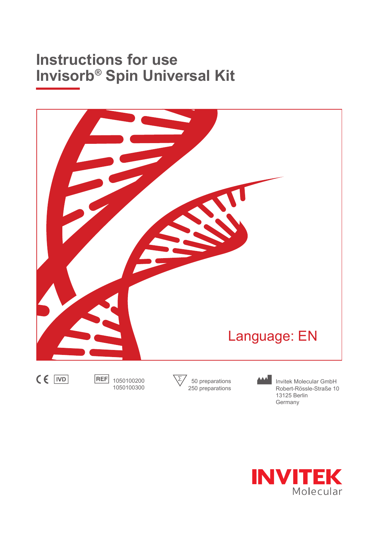# **Instructions for use Invisorb® Spin Universal Kit**





250 preparations

1050100200 1050100300

> **INVITEK** Molecular

Robert-Rössle-Straße 10

13125 Berlin Germany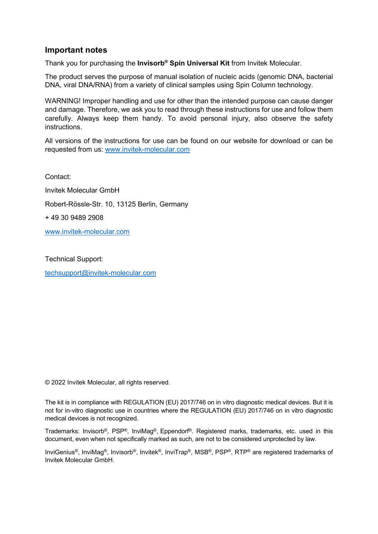### Important notes

Thank you for purchasing the Invisorb<sup>®</sup> Spin Universal Kit from Invitek Molecular.

The product serves the purpose of manual isolation of nucleic acids (genomic DNA, bacterial DNA, viral DNA/RNA) from a variety of clinical samples using Spin Column technology.

WARNING! Improper handling and use for other than the intended purpose can cause danger and damage. Therefore, we ask you to read through these instructions for use and follow them carefully. Always keep them handy. To avoid personal injury, also observe the safety instructions.

All versions of the instructions for use can be found on our website for download or can be requested from us: www.invitek-molecular.com

Contact: Invitek Molecular GmbH Robert-Rössle-Str. 10, 13125 Berlin, Germany + 49 30 9489 2908 www.invitek-molecular.com

Technical Support: techsupport@invitek-molecular.com

© 2022 Invitek Molecular, all rights reserved.

The kit is in compliance with REGULATION (EU) 2017/746 on in vitro diagnostic medical devices. But it is not for in-vitro diagnostic use in countries where the REGULATION (EU) 2017/746 on in vitro diagnostic medical devices is not recognized.

Trademarks: Invisorb®, PSP®, InviMag®, Eppendorf®. Registered marks, trademarks, etc. used in this document, even when not specifically marked as such, are not to be considered unprotected by law.

InviGenius®, InviMag®, Invisorb®, Invitek®, InviTrap®, MSB®, PSP®, RTP® are registered trademarks of Invitek Molecular GmbH.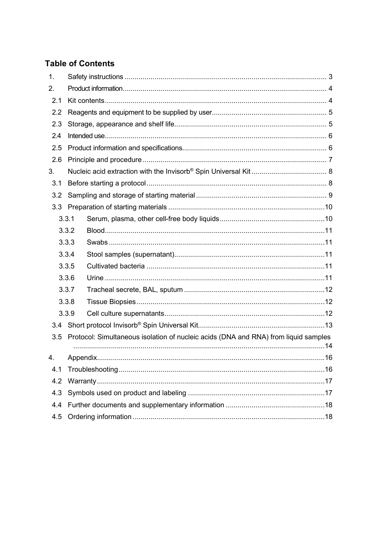# **Table of Contents**

| 1.  |       |                                                                                     |  |
|-----|-------|-------------------------------------------------------------------------------------|--|
| 2.  |       |                                                                                     |  |
| 2.1 |       |                                                                                     |  |
| 2.2 |       |                                                                                     |  |
| 2.3 |       |                                                                                     |  |
| 2.4 |       |                                                                                     |  |
| 2.5 |       |                                                                                     |  |
| 2.6 |       |                                                                                     |  |
| 3.  |       |                                                                                     |  |
| 3.1 |       |                                                                                     |  |
| 3.2 |       |                                                                                     |  |
| 3.3 |       |                                                                                     |  |
|     | 3.3.1 |                                                                                     |  |
|     | 3.3.2 |                                                                                     |  |
|     | 3.3.3 |                                                                                     |  |
|     | 3.3.4 |                                                                                     |  |
|     | 3.3.5 |                                                                                     |  |
|     | 3.3.6 |                                                                                     |  |
|     | 3.3.7 |                                                                                     |  |
|     | 3.3.8 |                                                                                     |  |
|     | 3.3.9 |                                                                                     |  |
| 3.4 |       |                                                                                     |  |
| 3.5 |       | Protocol: Simultaneous isolation of nucleic acids (DNA and RNA) from liquid samples |  |
| 4.  |       |                                                                                     |  |
| 4.1 |       |                                                                                     |  |
| 4.2 |       |                                                                                     |  |
| 4.3 |       |                                                                                     |  |
| 4.4 |       |                                                                                     |  |
| 4.5 |       |                                                                                     |  |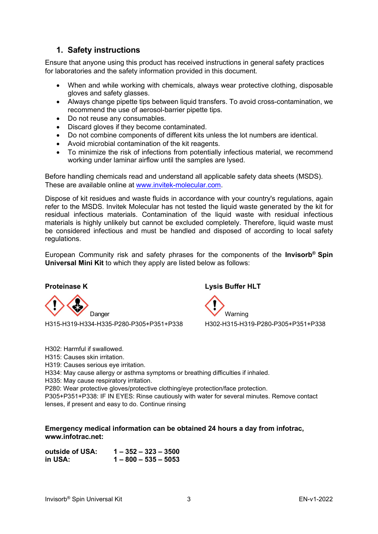# 1. Safety instructions

Ensure that anyone using this product has received instructions in general safety practices for laboratories and the safety information provided in this document.

- When and while working with chemicals, always wear protective clothing, disposable gloves and safety glasses.
- Always change pipette tips between liquid transfers. To avoid cross-contamination, we recommend the use of aerosol-barrier pipette tips.
- Do not reuse any consumables.
- Discard gloves if they become contaminated.
- Do not combine components of different kits unless the lot numbers are identical.
- Avoid microbial contamination of the kit reagents.
- To minimize the risk of infections from potentially infectious material, we recommend working under laminar airflow until the samples are lysed.

Before handling chemicals read and understand all applicable safety data sheets (MSDS). These are available online at www.invitek-molecular.com.

Dispose of kit residues and waste fluids in accordance with your country's regulations, again refer to the MSDS. Invitek Molecular has not tested the liquid waste generated by the kit for residual infectious materials. Contamination of the liquid waste with residual infectious materials is highly unlikely but cannot be excluded completely. Therefore, liquid waste must be considered infectious and must be handled and disposed of according to local safety regulations.

European Community risk and safety phrases for the components of the **Invisorb<sup>®</sup> Spin** Universal Mini Kit to which they apply are listed below as follows:



H315-H319-H334-H335-P280-P305+P351+P338 H302-H315-H319-P280-P305+P351+P338

H302: Harmful if swallowed.

- H315: Causes skin irritation.
- H319: Causes serious eye irritation.

H334: May cause allergy or asthma symptoms or breathing difficulties if inhaled.

H335: May cause respiratory irritation.

P280: Wear protective gloves/protective clothing/eye protection/face protection.

P305+P351+P338: IF IN EYES: Rinse cautiously with water for several minutes. Remove contact lenses, if present and easy to do. Continue rinsing

#### Emergency medical information can be obtained 24 hours a day from infotrac, www.infotrac.net:

outside of USA: 1 – 352 – 323 – 3500 in USA: 1 – 800 – 535 – 5053

Proteinase K Lysis Buffer HLT

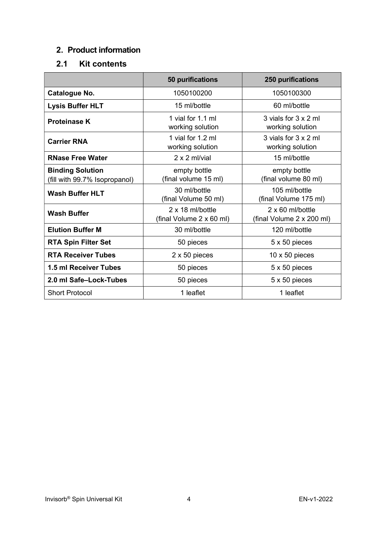# 2. Product information

# 2.1 Kit contents

|                                                          | <b>50 purifications</b>                      | <b>250 purifications</b>                             |
|----------------------------------------------------------|----------------------------------------------|------------------------------------------------------|
| <b>Catalogue No.</b>                                     | 1050100200                                   | 1050100300                                           |
| <b>Lysis Buffer HLT</b>                                  | 15 ml/bottle                                 | 60 ml/bottle                                         |
| <b>Proteinase K</b>                                      | 1 vial for 1.1 ml<br>working solution        | 3 vials for 3 x 2 ml<br>working solution             |
| <b>Carrier RNA</b>                                       | 1 vial for 1.2 ml<br>working solution        | 3 vials for 3 x 2 ml<br>working solution             |
| <b>RNase Free Water</b>                                  | $2 \times 2$ ml/vial                         | 15 ml/bottle                                         |
| <b>Binding Solution</b><br>(fill with 99.7% Isopropanol) | empty bottle<br>(final volume 15 ml)         | empty bottle<br>(final volume 80 ml)                 |
| <b>Wash Buffer HLT</b>                                   | 30 ml/bottle<br>(final Volume 50 ml)         | 105 ml/bottle<br>(final Volume 175 ml)               |
| <b>Wash Buffer</b>                                       | 2 x 18 ml/bottle<br>(final Volume 2 x 60 ml) | $2 \times 60$ ml/bottle<br>(final Volume 2 x 200 ml) |
| <b>Elution Buffer M</b>                                  | 30 ml/bottle                                 | 120 ml/bottle                                        |
| <b>RTA Spin Filter Set</b>                               | 50 pieces                                    | 5 x 50 pieces                                        |
| <b>RTA Receiver Tubes</b>                                | 2 x 50 pieces                                | $10 \times 50$ pieces                                |
| <b>1.5 ml Receiver Tubes</b>                             | 50 pieces                                    | 5 x 50 pieces                                        |
| 2.0 ml Safe-Lock-Tubes                                   | 50 pieces                                    | 5 x 50 pieces                                        |
| <b>Short Protocol</b>                                    | 1 leaflet                                    | 1 leaflet                                            |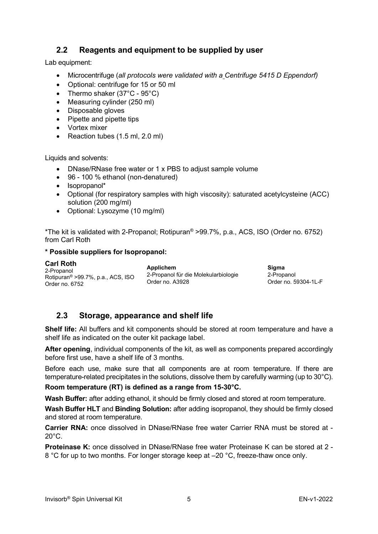# 2.2 Reagents and equipment to be supplied by user

Lab equipment:

- Microcentrifuge (all protocols were validated with a Centrifuge 5415 D Eppendorf)
- Optional: centrifuge for 15 or 50 ml
- Thermo shaker (37°C 95°C)
- Measuring cylinder (250 ml)
- Disposable gloves
- Pipette and pipette tips
- Vortex mixer
- Reaction tubes (1.5 ml, 2.0 ml)

Liquids and solvents:

- DNase/RNase free water or 1 x PBS to adjust sample volume
- 96 100 % ethanol (non-denatured)
- Isopropanol\*
- Optional (for respiratory samples with high viscosity): saturated acetylcysteine (ACC) solution (200 mg/ml)
- Optional: Lysozyme (10 mg/ml)

\*The kit is validated with 2-Propanol; Rotipuran® >99.7%, p.a., ACS, ISO (Order no. 6752) from Carl Roth

#### \* Possible suppliers for Isopropanol:

Carl Roth 2-Propanol Rotipuran® >99.7%, p.a., ACS, ISO Order no. 6752

**Annlichem** 2-Propanol für die Molekularbiologie Order no. A3928

Sigma 2-Propanol Order no. 59304-1L-F

## 2.3 Storage, appearance and shelf life

Shelf life: All buffers and kit components should be stored at room temperature and have a shelf life as indicated on the outer kit package label.

After opening, individual components of the kit, as well as components prepared accordingly before first use, have a shelf life of 3 months.

Before each use, make sure that all components are at room temperature. If there are temperature-related precipitates in the solutions, dissolve them by carefully warming (up to 30°C).

Room temperature (RT) is defined as a range from 15-30°C.

Wash Buffer: after adding ethanol, it should be firmly closed and stored at room temperature.

Wash Buffer HLT and Binding Solution: after adding isopropanol, they should be firmly closed and stored at room temperature.

Carrier RNA: once dissolved in DNase/RNase free water Carrier RNA must be stored at - 20°C.

Proteinase K: once dissolved in DNase/RNase free water Proteinase K can be stored at 2 - 8 °C for up to two months. For longer storage keep at –20 °C, freeze-thaw once only.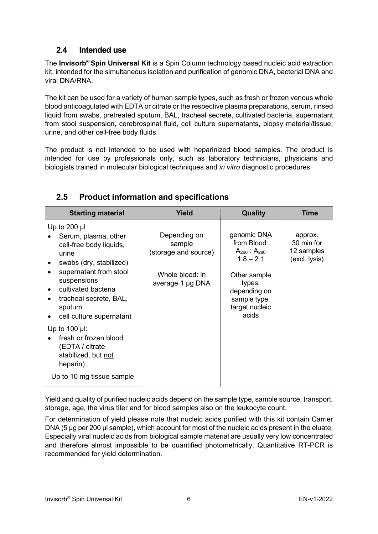# 2.4 Intended use

The **Invisorb<sup>®</sup> Spin Universal Kit** is a Spin Column technology based nucleic acid extraction kit, intended for the simultaneous isolation and purification of genomic DNA, bacterial DNA and viral DNA/RNA.

The kit can be used for a variety of human sample types, such as fresh or frozen venous whole blood anticoagulated with EDTA or citrate or the respective plasma preparations, serum, rinsed liquid from swabs, pretreated sputum, BAL, tracheal secrete, cultivated bacteria, supernatant from stool suspension, cerebrospinal fluid, cell culture supernatants, biopsy material/tissue, urine, and other cell-free body fluids.

The product is not intended to be used with heparinized blood samples. The product is intended for use by professionals only, such as laboratory technicians, physicians and biologists trained in molecular biological techniques and *in vitro* diagnostic procedures.

| <b>Starting material</b>                                                                                                                                                                                                                                                                  | <b>Yield</b>                                                                          | Quality                                                                                                                                                 | <b>Time</b>                                          |
|-------------------------------------------------------------------------------------------------------------------------------------------------------------------------------------------------------------------------------------------------------------------------------------------|---------------------------------------------------------------------------------------|---------------------------------------------------------------------------------------------------------------------------------------------------------|------------------------------------------------------|
| Up to $200$ µl<br>Serum, plasma, other<br>cell-free body liquids,<br>urine<br>swabs (dry, stabilized)<br>$\bullet$<br>supernatant from stool<br>suspensions<br>cultivated bacteria<br>$\bullet$<br>tracheal secrete, BAL,<br>$\bullet$<br>sputum<br>cell culture supernatant<br>$\bullet$ | Depending on<br>sample<br>(storage and source)<br>Whole blood: in<br>average 1 µg DNA | genomic DNA<br>from Blood:<br>$A_{260}$ : $A_{280}$<br>$1.8 - 2.1$<br>Other sample<br>types:<br>depending on<br>sample type,<br>target nucleic<br>acids | approx.<br>30 min for<br>12 samples<br>(excl. lysis) |
| Up to $100 \mu$ :<br>fresh or frozen blood<br>(EDTA / citrate<br>stabilized, but not<br>heparin)<br>Up to 10 mg tissue sample                                                                                                                                                             |                                                                                       |                                                                                                                                                         |                                                      |

# 2.5 Product information and specifications

Yield and quality of purified nucleic acids depend on the sample type, sample source, transport, storage, age, the virus titer and for blood samples also on the leukocyte count.

For determination of yield please note that nucleic acids purified with this kit contain Carrier DNA (5 μg per 200 μl sample), which account for most of the nucleic acids present in the eluate. Especially viral nucleic acids from biological sample material are usually very low concentrated and therefore almost impossible to be quantified photometrically. Quantitative RT-PCR is recommended for yield determination.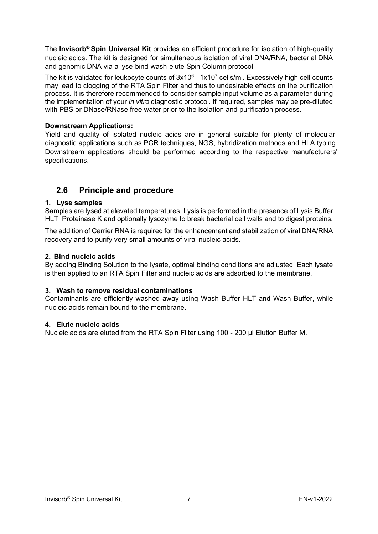The Invisorb<sup>®</sup> Spin Universal Kit provides an efficient procedure for isolation of high-quality nucleic acids. The kit is designed for simultaneous isolation of viral DNA/RNA, bacterial DNA and genomic DNA via a lyse-bind-wash-elute Spin Column protocol.

The kit is validated for leukocyte counts of  $3x10^6$  -  $1x10^7$  cells/ml. Excessively high cell counts may lead to clogging of the RTA Spin Filter and thus to undesirable effects on the purification process. It is therefore recommended to consider sample input volume as a parameter during the implementation of your in vitro diagnostic protocol. If required, samples may be pre-diluted with PBS or DNase/RNase free water prior to the isolation and purification process.

#### Downstream Applications:

Yield and quality of isolated nucleic acids are in general suitable for plenty of moleculardiagnostic applications such as PCR techniques, NGS, hybridization methods and HLA typing. Downstream applications should be performed according to the respective manufacturers' specifications.

# 2.6 Principle and procedure

#### 1. Lyse samples

Samples are lysed at elevated temperatures. Lysis is performed in the presence of Lysis Buffer HLT, Proteinase K and optionally lysozyme to break bacterial cell walls and to digest proteins.

The addition of Carrier RNA is required for the enhancement and stabilization of viral DNA/RNA recovery and to purify very small amounts of viral nucleic acids.

#### 2. Bind nucleic acids

By adding Binding Solution to the lysate, optimal binding conditions are adjusted. Each lysate is then applied to an RTA Spin Filter and nucleic acids are adsorbed to the membrane.

#### 3. Wash to remove residual contaminations

Contaminants are efficiently washed away using Wash Buffer HLT and Wash Buffer, while nucleic acids remain bound to the membrane.

#### 4. Elute nucleic acids

Nucleic acids are eluted from the RTA Spin Filter using 100 - 200 µl Elution Buffer M.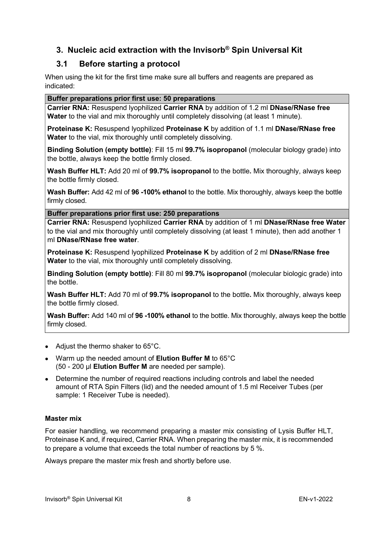# 3. Nucleic acid extraction with the Invisorb® Spin Universal Kit

# 3.1 Before starting a protocol

When using the kit for the first time make sure all buffers and reagents are prepared as indicated:

### Buffer preparations prior first use: 50 preparations

Carrier RNA: Resuspend lyophilized Carrier RNA by addition of 1.2 ml DNase/RNase free Water to the vial and mix thoroughly until completely dissolving (at least 1 minute).

Proteinase K: Resuspend Iyophilized Proteinase K by addition of 1.1 ml DNase/RNase free Water to the vial, mix thoroughly until completely dissolving.

Binding Solution (empty bottle): Fill 15 ml 99.7% isopropanol (molecular biology grade) into the bottle, always keep the bottle firmly closed.

Wash Buffer HLT: Add 20 ml of 99.7% isopropanol to the bottle. Mix thoroughly, always keep the bottle firmly closed.

Wash Buffer: Add 42 ml of 96 -100% ethanol to the bottle. Mix thoroughly, always keep the bottle firmly closed.

Buffer preparations prior first use: 250 preparations

Carrier RNA: Resuspend lyophilized Carrier RNA by addition of 1 ml DNase/RNase free Water to the vial and mix thoroughly until completely dissolving (at least 1 minute), then add another 1 ml DNase/RNase free water.

Proteinase K: Resuspend lyophilized Proteinase K by addition of 2 ml DNase/RNase free Water to the vial, mix thoroughly until completely dissolving.

Binding Solution (empty bottle): Fill 80 ml 99.7% isopropanol (molecular biologic grade) into the bottle.

Wash Buffer HLT: Add 70 ml of 99.7% isopropanol to the bottle. Mix thoroughly, always keep the bottle firmly closed.

Wash Buffer: Add 140 ml of 96 -100% ethanol to the bottle. Mix thoroughly, always keep the bottle firmly closed.

- Adjust the thermo shaker to 65°C.
- Warm up the needed amount of Elution Buffer M to 65°C (50 - 200 µl Elution Buffer M are needed per sample).
- Determine the number of required reactions including controls and label the needed amount of RTA Spin Filters (lid) and the needed amount of 1.5 ml Receiver Tubes (per sample: 1 Receiver Tube is needed).

#### Master mix

For easier handling, we recommend preparing a master mix consisting of Lysis Buffer HLT, Proteinase K and, if required, Carrier RNA. When preparing the master mix, it is recommended to prepare a volume that exceeds the total number of reactions by 5 %.

Always prepare the master mix fresh and shortly before use.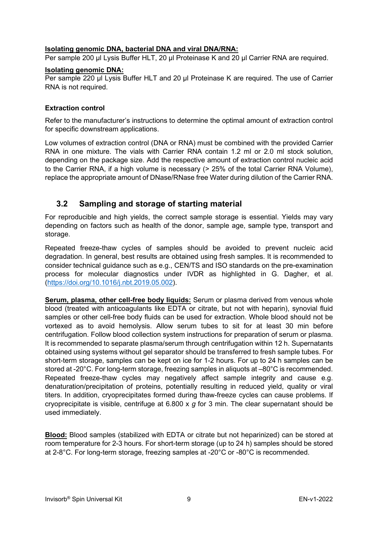#### Isolating genomic DNA, bacterial DNA and viral DNA/RNA:

Per sample 200 µl Lysis Buffer HLT, 20 µl Proteinase K and 20 µl Carrier RNA are required.

#### Isolating genomic DNA:

Per sample 220 µl Lysis Buffer HLT and 20 µl Proteinase K are required. The use of Carrier RNA is not required.

#### Extraction control

Refer to the manufacturer's instructions to determine the optimal amount of extraction control for specific downstream applications.

Low volumes of extraction control (DNA or RNA) must be combined with the provided Carrier RNA in one mixture. The vials with Carrier RNA contain 1.2 ml or 2.0 ml stock solution, depending on the package size. Add the respective amount of extraction control nucleic acid to the Carrier RNA, if a high volume is necessary (> 25% of the total Carrier RNA Volume), replace the appropriate amount of DNase/RNase free Water during dilution of the Carrier RNA.

# 3.2 Sampling and storage of starting material

For reproducible and high yields, the correct sample storage is essential. Yields may vary depending on factors such as health of the donor, sample age, sample type, transport and storage.

Repeated freeze-thaw cycles of samples should be avoided to prevent nucleic acid degradation. In general, best results are obtained using fresh samples. It is recommended to consider technical guidance such as e.g., CEN/TS and ISO standards on the pre-examination process for molecular diagnostics under IVDR as highlighted in G. Dagher, et al. (https://doi.org/10.1016/j.nbt.2019.05.002).

Serum, plasma, other cell-free body liquids: Serum or plasma derived from venous whole blood (treated with anticoagulants like EDTA or citrate, but not with heparin), synovial fluid samples or other cell-free body fluids can be used for extraction. Whole blood should not be vortexed as to avoid hemolysis. Allow serum tubes to sit for at least 30 min before centrifugation. Follow blood collection system instructions for preparation of serum or plasma. It is recommended to separate plasma/serum through centrifugation within 12 h. Supernatants obtained using systems without gel separator should be transferred to fresh sample tubes. For short-term storage, samples can be kept on ice for 1-2 hours. For up to 24 h samples can be stored at -20°C. For long-term storage, freezing samples in aliquots at –80°C is recommended. Repeated freeze-thaw cycles may negatively affect sample integrity and cause e.g. denaturation/precipitation of proteins, potentially resulting in reduced yield, quality or viral titers. In addition, cryoprecipitates formed during thaw-freeze cycles can cause problems. If cryoprecipitate is visible, centrifuge at 6.800 x  $g$  for 3 min. The clear supernatant should be used immediately.

Blood: Blood samples (stabilized with EDTA or citrate but not heparinized) can be stored at room temperature for 2-3 hours. For short-term storage (up to 24 h) samples should be stored at 2-8°C. For long-term storage, freezing samples at -20°C or -80°C is recommended.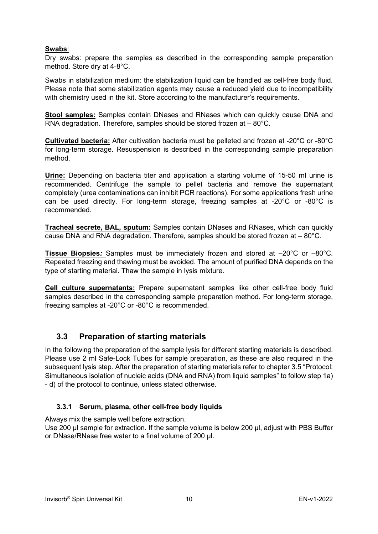#### Swabs:

Dry swabs: prepare the samples as described in the corresponding sample preparation method. Store dry at 4-8°C.

Swabs in stabilization medium: the stabilization liquid can be handled as cell-free body fluid. Please note that some stabilization agents may cause a reduced yield due to incompatibility with chemistry used in the kit. Store according to the manufacturer's requirements.

Stool samples: Samples contain DNases and RNases which can quickly cause DNA and RNA degradation. Therefore, samples should be stored frozen at – 80°C.

Cultivated bacteria: After cultivation bacteria must be pelleted and frozen at -20°C or -80°C for long-term storage. Resuspension is described in the corresponding sample preparation method.

Urine: Depending on bacteria titer and application a starting volume of 15-50 ml urine is recommended. Centrifuge the sample to pellet bacteria and remove the supernatant completely (urea contaminations can inhibit PCR reactions). For some applications fresh urine can be used directly. For long-term storage, freezing samples at -20°C or -80°C is recommended.

Tracheal secrete, BAL, sputum: Samples contain DNases and RNases, which can quickly cause DNA and RNA degradation. Therefore, samples should be stored frozen at – 80°C.

Tissue Biopsies: Samples must be immediately frozen and stored at –20°C or –80°C. Repeated freezing and thawing must be avoided. The amount of purified DNA depends on the type of starting material. Thaw the sample in lysis mixture.

Cell culture supernatants: Prepare supernatant samples like other cell-free body fluid samples described in the corresponding sample preparation method. For long-term storage, freezing samples at -20°C or -80°C is recommended.

## 3.3 Preparation of starting materials

In the following the preparation of the sample lysis for different starting materials is described. Please use 2 ml Safe-Lock Tubes for sample preparation, as these are also required in the subsequent lysis step. After the preparation of starting materials refer to chapter 3.5 "Protocol: Simultaneous isolation of nucleic acids (DNA and RNA) from liquid samples" to follow step 1a) - d) of the protocol to continue, unless stated otherwise.

#### 3.3.1 Serum, plasma, other cell-free body liquids

Always mix the sample well before extraction.

Use 200 µl sample for extraction. If the sample volume is below 200 µl, adjust with PBS Buffer or DNase/RNase free water to a final volume of 200 µl.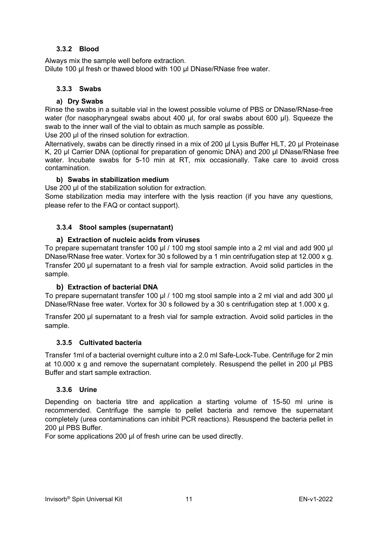#### 3.3.2 Blood

Always mix the sample well before extraction. Dilute 100 µl fresh or thawed blood with 100 µl DNase/RNase free water.

#### 3.3.3 Swabs

#### a) Dry Swabs

Rinse the swabs in a suitable vial in the lowest possible volume of PBS or DNase/RNase-free water (for nasopharyngeal swabs about 400 µl, for oral swabs about 600 µl). Squeeze the swab to the inner wall of the vial to obtain as much sample as possible.

Use 200 µl of the rinsed solution for extraction.

Alternatively, swabs can be directly rinsed in a mix of 200 ul Lysis Buffer HLT, 20 ul Proteinase K, 20 µl Carrier DNA (optional for preparation of genomic DNA) and 200 µl DNase/RNase free water. Incubate swabs for 5-10 min at RT, mix occasionally. Take care to avoid cross contamination.

#### b) Swabs in stabilization medium

Use 200 µl of the stabilization solution for extraction.

Some stabilization media may interfere with the lysis reaction (if you have any questions, please refer to the FAQ or contact support).

#### 3.3.4 Stool samples (supernatant)

#### a) Extraction of nucleic acids from viruses

To prepare supernatant transfer 100 µl / 100 mg stool sample into a 2 ml vial and add 900 µl DNase/RNase free water. Vortex for 30 s followed by a 1 min centrifugation step at 12.000 x g. Transfer 200 µl supernatant to a fresh vial for sample extraction. Avoid solid particles in the sample.

#### b) Extraction of bacterial DNA

To prepare supernatant transfer 100 µl / 100 mg stool sample into a 2 ml vial and add 300 µl DNase/RNase free water. Vortex for 30 s followed by a 30 s centrifugation step at 1.000 x g.

Transfer 200 µl supernatant to a fresh vial for sample extraction. Avoid solid particles in the sample.

#### 3.3.5 Cultivated bacteria

Transfer 1ml of a bacterial overnight culture into a 2.0 ml Safe-Lock-Tube. Centrifuge for 2 min at 10.000 x g and remove the supernatant completely. Resuspend the pellet in 200 µl PBS Buffer and start sample extraction.

#### 3.3.6 Urine

Depending on bacteria titre and application a starting volume of 15-50 ml urine is recommended. Centrifuge the sample to pellet bacteria and remove the supernatant completely (urea contaminations can inhibit PCR reactions). Resuspend the bacteria pellet in 200 µl PBS Buffer.

For some applications 200 µl of fresh urine can be used directly.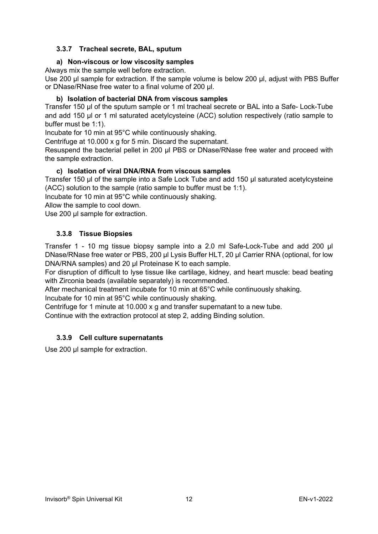#### 3.3.7 Tracheal secrete, BAL, sputum

#### a) Non-viscous or low viscosity samples

Always mix the sample well before extraction.

Use 200 µl sample for extraction. If the sample volume is below 200 µl, adjust with PBS Buffer or DNase/RNase free water to a final volume of 200 µl.

#### b) Isolation of bacterial DNA from viscous samples

Transfer 150 µl of the sputum sample or 1 ml tracheal secrete or BAL into a Safe- Lock-Tube and add 150 µl or 1 ml saturated acetylcysteine (ACC) solution respectively (ratio sample to buffer must be 1:1).

Incubate for 10 min at 95°C while continuously shaking.

Centrifuge at 10.000 x g for 5 min. Discard the supernatant.

Resuspend the bacterial pellet in 200 µl PBS or DNase/RNase free water and proceed with the sample extraction.

#### c) Isolation of viral DNA/RNA from viscous samples

Transfer 150 µl of the sample into a Safe Lock Tube and add 150 µl saturated acetylcysteine (ACC) solution to the sample (ratio sample to buffer must be 1:1).

Incubate for 10 min at 95°C while continuously shaking.

Allow the sample to cool down.

Use 200 µl sample for extraction.

#### 3.3.8 Tissue Biopsies

Transfer 1 - 10 mg tissue biopsy sample into a 2.0 ml Safe-Lock-Tube and add 200 µl DNase/RNase free water or PBS, 200 µl Lysis Buffer HLT, 20 µl Carrier RNA (optional, for low DNA/RNA samples) and 20 µl Proteinase K to each sample.

For disruption of difficult to lyse tissue like cartilage, kidney, and heart muscle: bead beating with Zirconia beads (available separately) is recommended.

After mechanical treatment incubate for 10 min at 65°C while continuously shaking.

Incubate for 10 min at 95°C while continuously shaking.

Centrifuge for 1 minute at 10.000 x g and transfer supernatant to a new tube.

Continue with the extraction protocol at step 2, adding Binding solution.

#### 3.3.9 Cell culture supernatants

Use 200 µl sample for extraction.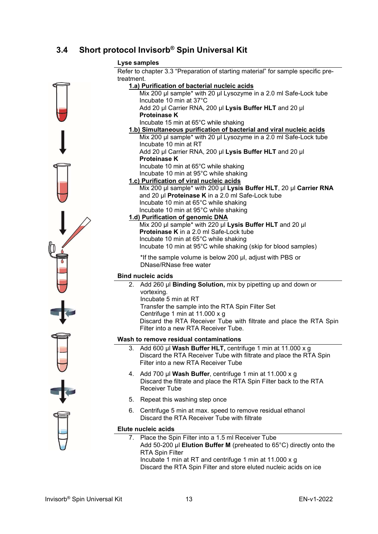# 3.4 Short protocol Invisorb® Spin Universal Kit



Refer to chapter 3.3 "Preparation of starting material" for sample specific pretreatment.

| treatment.                                                                          |
|-------------------------------------------------------------------------------------|
| 1.a) Purification of bacterial nucleic acids                                        |
| Mix 200 µl sample* with 20 µl Lysozyme in a 2.0 ml Safe-Lock tube                   |
| Incubate 10 min at 37°C                                                             |
| Add 20 µl Carrier RNA, 200 µl Lysis Buffer HLT and 20 µl                            |
| <b>Proteinase K</b>                                                                 |
| Incubate 15 min at 65°C while shaking                                               |
| 1.b) Simultaneous purification of bacterial and viral nucleic acids                 |
| Mix 200 µl sample* with 20 µl Lysozyme in a 2.0 ml Safe-Lock tube                   |
| Incubate 10 min at RT                                                               |
| Add 20 µl Carrier RNA, 200 µl Lysis Buffer HLT and 20 µl                            |
| <b>Proteinase K</b>                                                                 |
| Incubate 10 min at 65°C while shaking                                               |
| Incubate 10 min at 95°C while shaking                                               |
| 1.c) Purification of viral nucleic acids                                            |
| Mix 200 µl sample* with 200 µl Lysis Buffer HLT, 20 µl Carrier RNA                  |
| and 20 $\mu$ Proteinase K in a 2.0 ml Safe-Lock tube                                |
| Incubate 10 min at 65°C while shaking                                               |
| Incubate 10 min at 95°C while shaking                                               |
| 1.d) Purification of genomic DNA                                                    |
| Mix 200 µl sample* with 220 µl Lysis Buffer HLT and 20 µl                           |
| Proteinase K in a 2.0 ml Safe-Lock tube                                             |
| Incubate 10 min at 65°C while shaking                                               |
| Incubate 10 min at 95°C while shaking (skip for blood samples)                      |
| *If the sample volume is below 200 µl, adjust with PBS or                           |
| DNase/RNase free water                                                              |
| <b>Bind nucleic acids</b>                                                           |
| 2. Add 260 µl Binding Solution, mix by pipetting up and down or                     |
| vortexing.                                                                          |
| Incubate 5 min at RT                                                                |
| Transfer the sample into the RTA Spin Filter Set                                    |
| Centrifuge 1 min at 11.000 x g                                                      |
| Discard the RTA Receiver Tube with filtrate and place the RTA Spin                  |
| Filter into a new RTA Receiver Tube.                                                |
|                                                                                     |
| Wash to remove residual contaminations                                              |
| Add 600 µl Wash Buffer HLT, centrifuge 1 min at 11.000 x g<br>3.                    |
| Discard the RTA Receiver Tube with filtrate and place the RTA Spin                  |
| Filter into a new RTA Receiver Tube                                                 |
| 4. Add 700 µl Wash Buffer, centrifuge 1 min at 11.000 x g                           |
| Discard the filtrate and place the RTA Spin Filter back to the RTA                  |
| <b>Receiver Tube</b>                                                                |
|                                                                                     |
| Repeat this washing step once<br>5.                                                 |
| 6.<br>Centrifuge 5 min at max. speed to remove residual ethanol                     |
| Discard the RTA Receiver Tube with filtrate                                         |
| Elute nucleic acids                                                                 |
| 7. Place the Spin Filter into a 1.5 ml Receiver Tube                                |
| Add 50-200 $\mu$ I Elution Buffer M (preheated to 65 $\degree$ C) directly onto the |
|                                                                                     |

Incubate 1 min at RT and centrifuge 1 min at 11.000 x g

Discard the RTA Spin Filter and store eluted nucleic acids on ice

RTA Spin Filter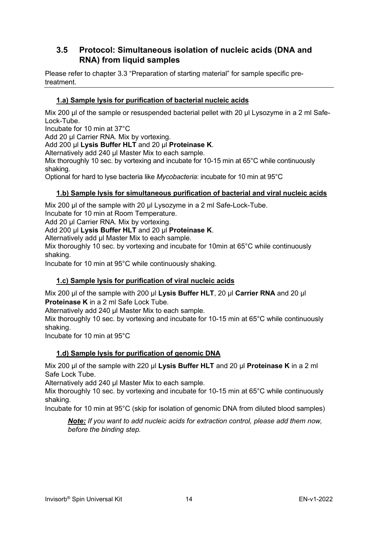# 3.5 Protocol: Simultaneous isolation of nucleic acids (DNA and RNA) from liquid samples

Please refer to chapter 3.3 "Preparation of starting material" for sample specific pretreatment.

### 1.a) Sample lysis for purification of bacterial nucleic acids

Mix 200 µl of the sample or resuspended bacterial pellet with 20 µl Lysozyme in a 2 ml Safe-Lock-Tube.

Incubate for 10 min at 37°C

Add 20 µl Carrier RNA. Mix by vortexing.

#### Add 200 µl Lysis Buffer HLT and 20 µl Proteinase K.

Alternatively add 240 ul Master Mix to each sample.

Mix thoroughly 10 sec. by vortexing and incubate for 10-15 min at 65°C while continuously shaking.

Optional for hard to lyse bacteria like Mycobacteria: incubate for 10 min at 95°C

#### 1.b) Sample lysis for simultaneous purification of bacterial and viral nucleic acids

Mix 200 µl of the sample with 20 µl Lysozyme in a 2 ml Safe-Lock-Tube.

Incubate for 10 min at Room Temperature.

Add 20 µl Carrier RNA. Mix by vortexing.

#### Add 200 µl Lysis Buffer HLT and 20 µl Proteinase K.

Alternatively add µl Master Mix to each sample.

Mix thoroughly 10 sec. by vortexing and incubate for 10min at 65°C while continuously shaking.

Incubate for 10 min at 95°C while continuously shaking.

#### 1.c) Sample lysis for purification of viral nucleic acids

Mix 200 µl of the sample with 200 µl Lysis Buffer HLT, 20 µl Carrier RNA and 20 µl Proteinase K in a 2 ml Safe Lock Tube.

Alternatively add 240 µl Master Mix to each sample.

Mix thoroughly 10 sec. by vortexing and incubate for 10-15 min at 65°C while continuously shaking.

Incubate for 10 min at 95°C

#### 1.d) Sample lysis for purification of genomic DNA

Mix 200 ul of the sample with 220 ul Lysis Buffer HLT and 20 ul Proteinase K in a 2 ml Safe Lock Tube.

Alternatively add 240 µl Master Mix to each sample.

Mix thoroughly 10 sec. by vortexing and incubate for 10-15 min at 65°C while continuously shaking.

Incubate for 10 min at 95°C (skip for isolation of genomic DNA from diluted blood samples)

Note: If you want to add nucleic acids for extraction control, please add them now, before the binding step.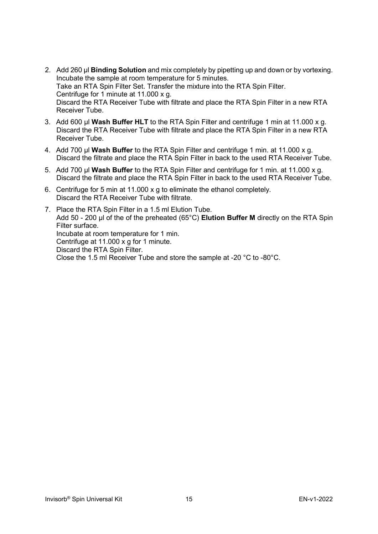- 2. Add 260 µl Binding Solution and mix completely by pipetting up and down or by vortexing. Incubate the sample at room temperature for 5 minutes. Take an RTA Spin Filter Set. Transfer the mixture into the RTA Spin Filter. Centrifuge for 1 minute at 11.000 x g. Discard the RTA Receiver Tube with filtrate and place the RTA Spin Filter in a new RTA Receiver Tube.
- 3. Add 600 µl Wash Buffer HLT to the RTA Spin Filter and centrifuge 1 min at 11.000 x g. Discard the RTA Receiver Tube with filtrate and place the RTA Spin Filter in a new RTA Receiver Tube.
- 4. Add 700 µl Wash Buffer to the RTA Spin Filter and centrifuge 1 min. at 11.000 x g. Discard the filtrate and place the RTA Spin Filter in back to the used RTA Receiver Tube.
- 5. Add 700 µl Wash Buffer to the RTA Spin Filter and centrifuge for 1 min. at 11.000 x g. Discard the filtrate and place the RTA Spin Filter in back to the used RTA Receiver Tube.
- 6. Centrifuge for 5 min at 11.000 x g to eliminate the ethanol completely. Discard the RTA Receiver Tube with filtrate.
- 7. Place the RTA Spin Filter in a 1.5 ml Elution Tube. Add 50 - 200 µl of the of the preheated (65 $^{\circ}$ C) Elution Buffer M directly on the RTA Spin Filter surface. Incubate at room temperature for 1 min. Centrifuge at 11.000 x g for 1 minute. Discard the RTA Spin Filter. Close the 1.5 ml Receiver Tube and store the sample at -20 °C to -80°C.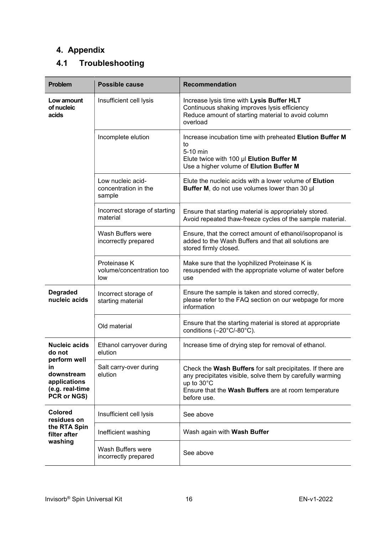# 4. Appendix

# 4.1 Troubleshooting

| <b>Problem</b>                                                     | <b>Possible cause</b>                               | <b>Recommendation</b>                                                                                                                                                                                        |
|--------------------------------------------------------------------|-----------------------------------------------------|--------------------------------------------------------------------------------------------------------------------------------------------------------------------------------------------------------------|
| Low amount<br>of nucleic<br>acids                                  | Insufficient cell lysis                             | Increase lysis time with Lysis Buffer HLT<br>Continuous shaking improves lysis efficiency<br>Reduce amount of starting material to avoid column<br>overload                                                  |
|                                                                    | Incomplete elution                                  | Increase incubation time with preheated Elution Buffer M<br>to<br>5-10 min<br>Elute twice with 100 µl Elution Buffer M<br>Use a higher volume of Elution Buffer M                                            |
|                                                                    | Low nucleic acid-<br>concentration in the<br>sample | Elute the nucleic acids with a lower volume of <b>Elution</b><br>Buffer M, do not use volumes lower than 30 µl                                                                                               |
|                                                                    | Incorrect storage of starting<br>material           | Ensure that starting material is appropriately stored.<br>Avoid repeated thaw-freeze cycles of the sample material.                                                                                          |
|                                                                    | Wash Buffers were<br>incorrectly prepared           | Ensure, that the correct amount of ethanol/isopropanol is<br>added to the Wash Buffers and that all solutions are<br>stored firmly closed.                                                                   |
|                                                                    | Proteinase K<br>volume/concentration too<br>low     | Make sure that the Iyophilized Proteinase K is<br>resuspended with the appropriate volume of water before<br>use                                                                                             |
| <b>Degraded</b><br>nucleic acids                                   | Incorrect storage of<br>starting material           | Ensure the sample is taken and stored correctly,<br>please refer to the FAQ section on our webpage for more<br>information                                                                                   |
|                                                                    | Old material                                        | Ensure that the starting material is stored at appropriate<br>conditions (-20°C/-80°C).                                                                                                                      |
| <b>Nucleic acids</b><br>do not<br>perform well                     | Ethanol carryover during<br>elution                 | Increase time of drying step for removal of ethanol.                                                                                                                                                         |
| in<br>downstream<br>applications<br>(e.g. real-time<br>PCR or NGS) | Salt carry-over during<br>elution                   | Check the Wash Buffers for salt precipitates. If there are<br>any precipitates visible, solve them by carefully warming<br>up to 30°C<br>Ensure that the Wash Buffers are at room temperature<br>before use. |
| <b>Colored</b><br>residues on                                      | Insufficient cell lysis                             | See above                                                                                                                                                                                                    |
| the RTA Spin<br>filter after                                       | Inefficient washing                                 | Wash again with Wash Buffer                                                                                                                                                                                  |
| washing                                                            | Wash Buffers were<br>incorrectly prepared           | See above                                                                                                                                                                                                    |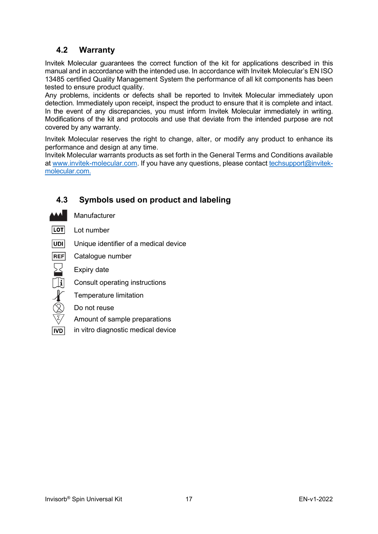# 4.2 Warranty

Invitek Molecular guarantees the correct function of the kit for applications described in this manual and in accordance with the intended use. In accordance with Invitek Molecular's EN ISO 13485 certified Quality Management System the performance of all kit components has been tested to ensure product quality.

Any problems, incidents or defects shall be reported to Invitek Molecular immediately upon detection. Immediately upon receipt, inspect the product to ensure that it is complete and intact. In the event of any discrepancies, you must inform Invitek Molecular immediately in writing. Modifications of the kit and protocols and use that deviate from the intended purpose are not covered by any warranty.

Invitek Molecular reserves the right to change, alter, or modify any product to enhance its performance and design at any time.

Invitek Molecular warrants products as set forth in the General Terms and Conditions available at www.invitek-molecular.com. If you have any questions, please contact techsupport@invitekmolecular.com.

# 4.3 Symbols used on product and labeling



 $\sum$ 

 $\begin{CD} \mathcal{L} \ \mathcal{L} \ \mathcal{R} \end{CD}$ 

Manufacturer

| <b>LOTI</b><br>Lot number |  |
|---------------------------|--|
|---------------------------|--|

- **UDI** Unique identifier of a medical device
- **REF** Catalogue number
	- Expiry date
	- Consult operating instructions
	- Temperature limitation
	- Do not reuse
	- Amount of sample preparations
- $|ND|$ in vitro diagnostic medical device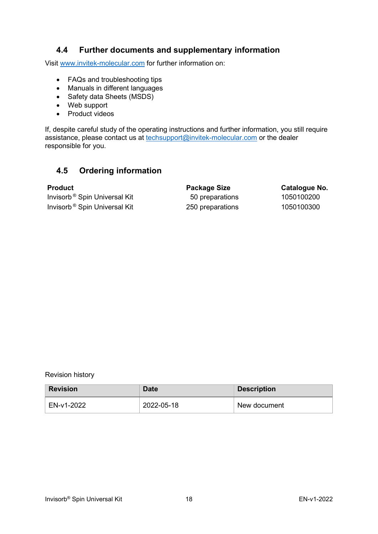# 4.4 Further documents and supplementary information

Visit www.invitek-molecular.com for further information on:

- FAQs and troubleshooting tips
- Manuals in different languages
- Safety data Sheets (MSDS)
- Web support
- Product videos

If, despite careful study of the operating instructions and further information, you still require assistance, please contact us at techsupport@invitek-molecular.com or the dealer responsible for you.

# 4.5 Ordering information

Invisorb<sup>®</sup> Spin Universal Kit 50 preparations 1050100200 Invisorb<sup>®</sup> Spin Universal Kit 250 preparations 1050100300

Product Product Package Size Catalogue No.

#### Revision history

| <b>Revision</b> | Date       | <b>Description</b> |
|-----------------|------------|--------------------|
| EN-v1-2022      | 2022-05-18 | New document       |